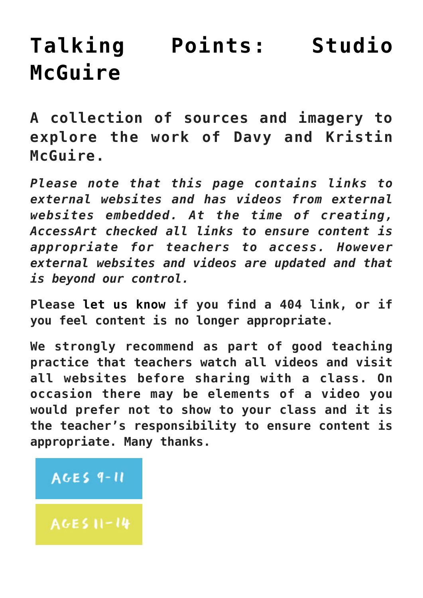# **[Talking Points: Studio](https://www.accessart.org.uk/talking-points-studio-mcguire/) [McGuire](https://www.accessart.org.uk/talking-points-studio-mcguire/)**

**A collection of sources and imagery to explore the work of Davy and Kristin McGuire.**

*Please note that this page contains links to external websites and has videos from external websites embedded. At the time of creating, AccessArt checked all links to ensure content is appropriate for teachers to access. However external websites and videos are updated and that is beyond our control.* 

**Please [let us know](mailto:info@accessart.org.uk) if you find a 404 link, or if you feel content is no longer appropriate.** 

**We strongly recommend as part of good teaching practice that teachers watch all videos and visit all websites before sharing with a class. On occasion there may be elements of a video you would prefer not to show to your class and it is the teacher's responsibility to ensure content is appropriate. Many thanks.** 

#### **AGES 9-11**

**AGES 11-14**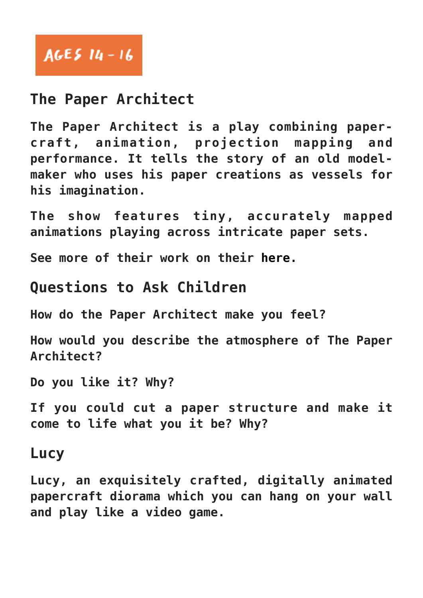# AGES  $14 - 16$

## **The Paper Architect**

**The Paper Architect is a play combining papercraft, animation, projection mapping and performance. It tells the story of an old modelmaker who uses his paper creations as vessels for his imagination.**

**The show features tiny, accurately mapped animations playing across intricate paper sets.** 

**See more of their work on their [here.](https://www.studiomcguire.com)**

#### **Questions to Ask Children**

**How do the Paper Architect make you feel?**

**How would you describe the atmosphere of The Paper Architect?**

**Do you like it? Why?**

**If you could cut a paper structure and make it come to life what you it be? Why?**

#### **Lucy**

**Lucy, an exquisitely crafted, digitally animated papercraft diorama which you can hang on your wall and play like a video game.**